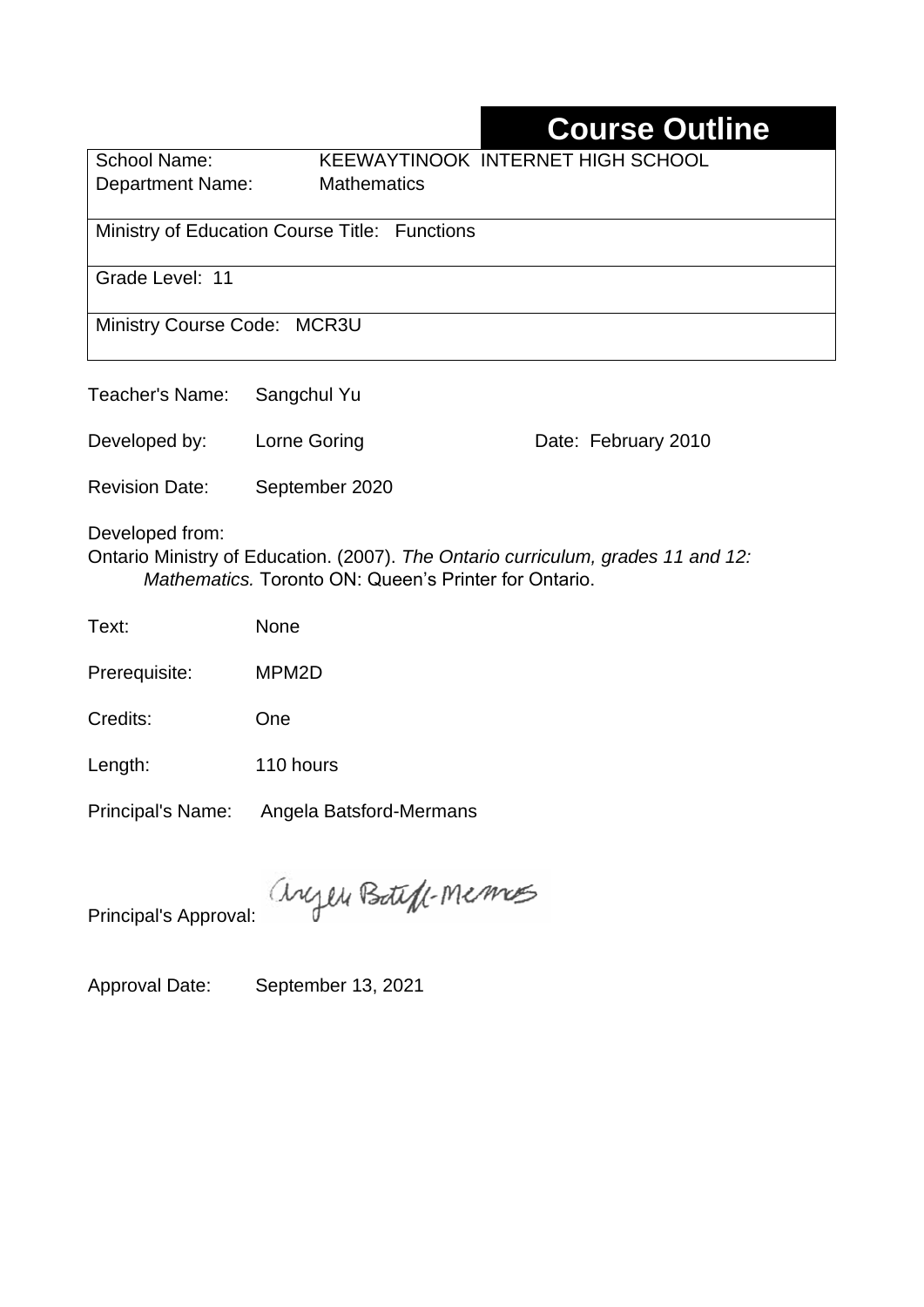# **Course Outline**

| School Name:                                  | KEEWAYTINOOK INTERNET HIGH SCHOOL |  |  |  |
|-----------------------------------------------|-----------------------------------|--|--|--|
| <b>Department Name:</b>                       | <b>Mathematics</b>                |  |  |  |
|                                               |                                   |  |  |  |
| Ministry of Education Course Title: Functions |                                   |  |  |  |
|                                               |                                   |  |  |  |
| Grade Level: 11                               |                                   |  |  |  |
|                                               |                                   |  |  |  |
| Ministry Course Code: MCR3U                   |                                   |  |  |  |
|                                               |                                   |  |  |  |
|                                               |                                   |  |  |  |

Teacher's Name: Sangchul Yu

Developed by: Lorne Goring **Date: February 2010** 

Revision Date: September 2020

Developed from:

Ontario Ministry of Education. (2007). *The Ontario curriculum, grades 11 and 12: Mathematics.* Toronto ON: Queen's Printer for Ontario.

Text: None

Prerequisite: MPM2D

Credits: One

Length: 110 hours

Principal's Name: Angela Batsford-Mermans

anyen Boteff-Memos

Principal's Approval:

Approval Date: September 13, 2021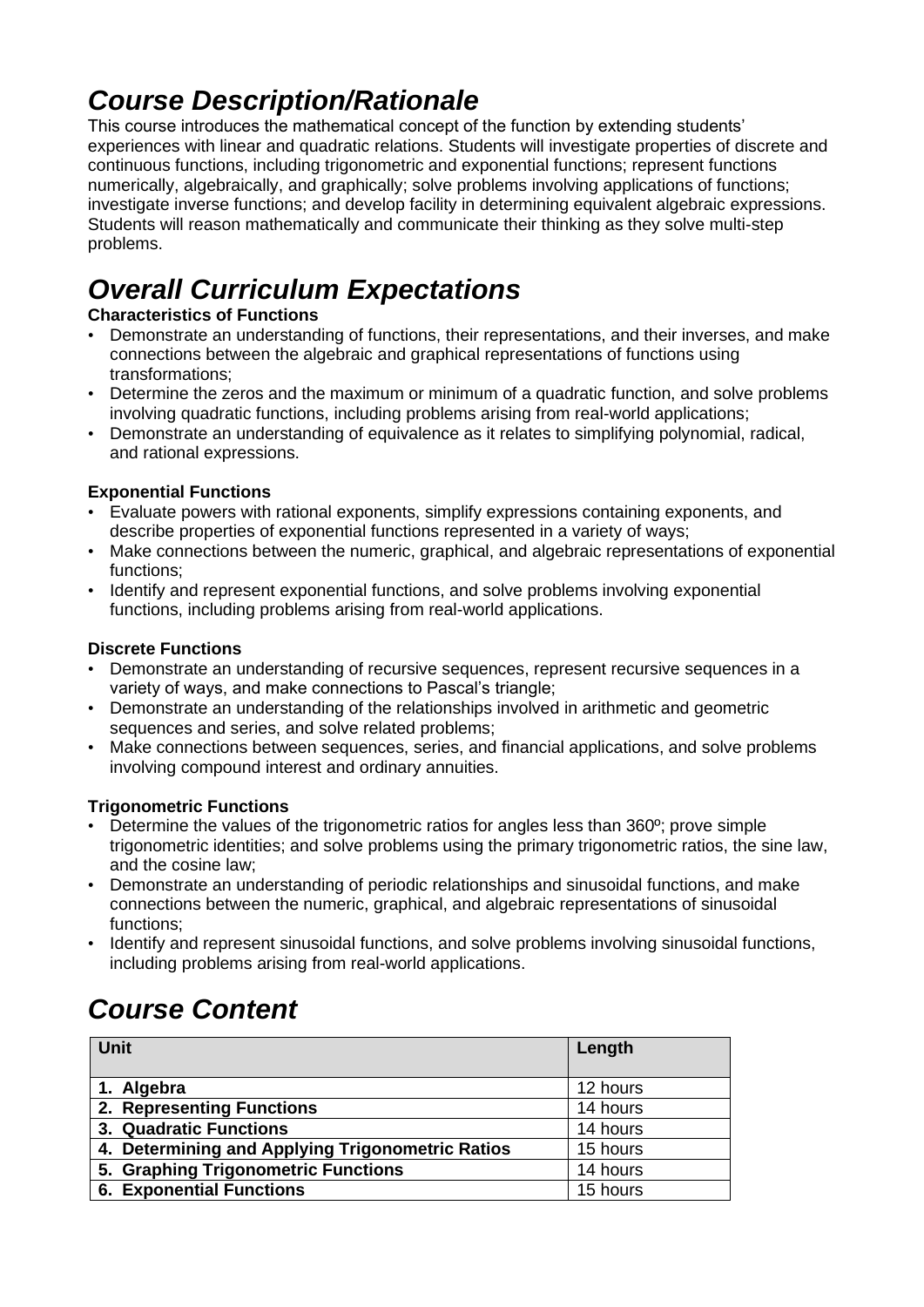## *Course Description/Rationale*

This course introduces the mathematical concept of the function by extending students' experiences with linear and quadratic relations. Students will investigate properties of discrete and continuous functions, including trigonometric and exponential functions; represent functions numerically, algebraically, and graphically; solve problems involving applications of functions; investigate inverse functions; and develop facility in determining equivalent algebraic expressions. Students will reason mathematically and communicate their thinking as they solve multi-step problems.

# *Overall Curriculum Expectations*

#### **Characteristics of Functions**

- Demonstrate an understanding of functions, their representations, and their inverses, and make connections between the algebraic and graphical representations of functions using transformations;
- Determine the zeros and the maximum or minimum of a quadratic function, and solve problems involving quadratic functions, including problems arising from real-world applications;
- Demonstrate an understanding of equivalence as it relates to simplifying polynomial, radical, and rational expressions.

#### **Exponential Functions**

- Evaluate powers with rational exponents, simplify expressions containing exponents, and describe properties of exponential functions represented in a variety of ways;
- Make connections between the numeric, graphical, and algebraic representations of exponential functions;
- Identify and represent exponential functions, and solve problems involving exponential functions, including problems arising from real-world applications.

#### **Discrete Functions**

- Demonstrate an understanding of recursive sequences, represent recursive sequences in a variety of ways, and make connections to Pascal's triangle;
- Demonstrate an understanding of the relationships involved in arithmetic and geometric sequences and series, and solve related problems;
- Make connections between sequences, series, and financial applications, and solve problems involving compound interest and ordinary annuities.

#### **Trigonometric Functions**

- Determine the values of the trigonometric ratios for angles less than 360º; prove simple trigonometric identities; and solve problems using the primary trigonometric ratios, the sine law, and the cosine law;
- Demonstrate an understanding of periodic relationships and sinusoidal functions, and make connections between the numeric, graphical, and algebraic representations of sinusoidal functions;
- Identify and represent sinusoidal functions, and solve problems involving sinusoidal functions, including problems arising from real-world applications.

## *Course Content*

| <b>Unit</b>                                      | Length   |
|--------------------------------------------------|----------|
| 1. Algebra                                       | 12 hours |
| 2. Representing Functions                        | 14 hours |
| 3. Quadratic Functions                           | 14 hours |
| 4. Determining and Applying Trigonometric Ratios | 15 hours |
| 5. Graphing Trigonometric Functions              | 14 hours |
| <b>6. Exponential Functions</b>                  | 15 hours |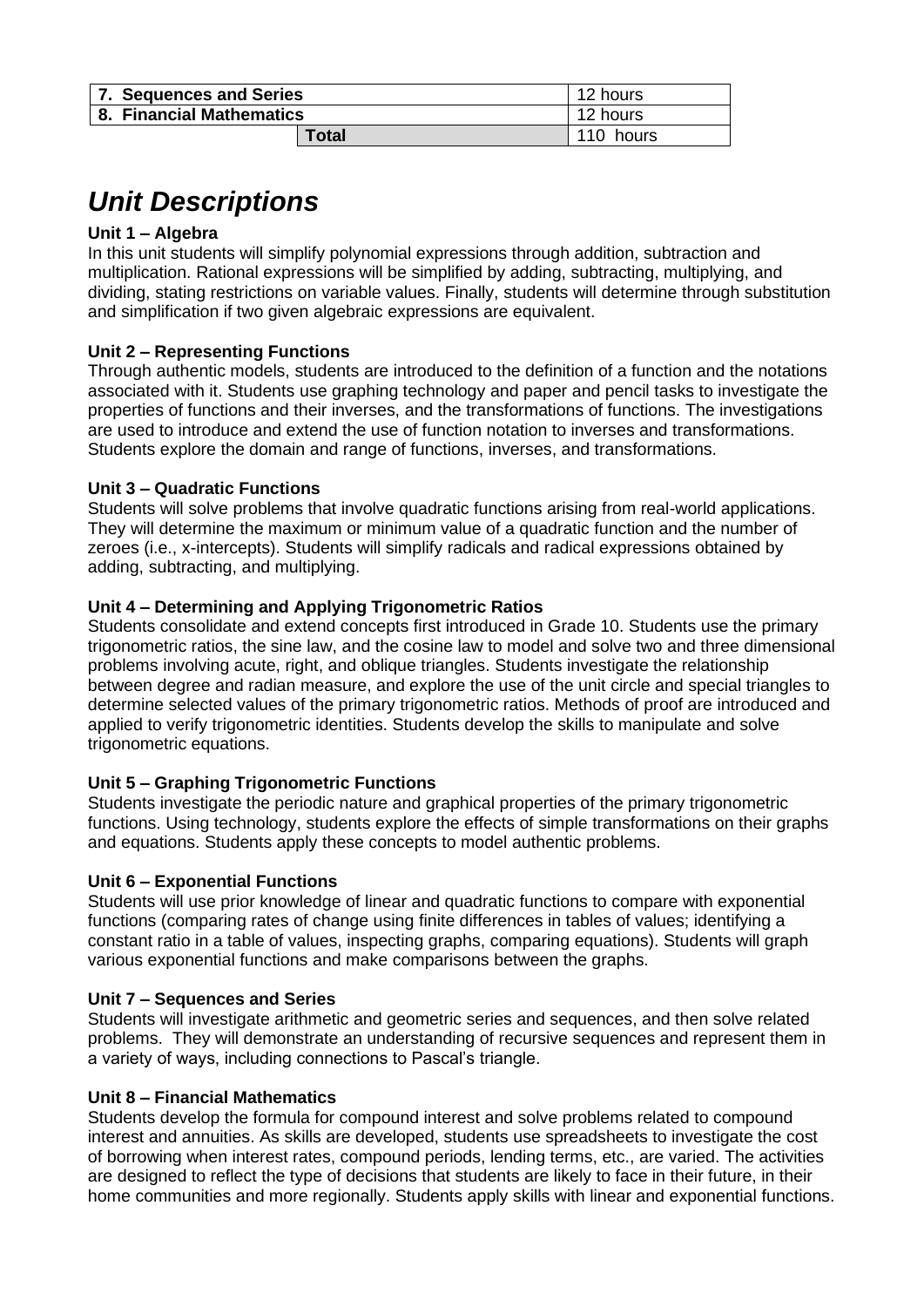| 7. Sequences and Series  | 12 hours  |
|--------------------------|-----------|
| 8. Financial Mathematics | 12 hours  |
| <b>Total</b>             | 110 hours |

## *Unit Descriptions*

#### **Unit 1 – Algebra**

In this unit students will simplify polynomial expressions through addition, subtraction and multiplication. Rational expressions will be simplified by adding, subtracting, multiplying, and dividing, stating restrictions on variable values. Finally, students will determine through substitution and simplification if two given algebraic expressions are equivalent.

#### **Unit 2 – Representing Functions**

Through authentic models, students are introduced to the definition of a function and the notations associated with it. Students use graphing technology and paper and pencil tasks to investigate the properties of functions and their inverses, and the transformations of functions. The investigations are used to introduce and extend the use of function notation to inverses and transformations. Students explore the domain and range of functions, inverses, and transformations.

#### **Unit 3 – Quadratic Functions**

Students will solve problems that involve quadratic functions arising from real-world applications. They will determine the maximum or minimum value of a quadratic function and the number of zeroes (i.e., x-intercepts). Students will simplify radicals and radical expressions obtained by adding, subtracting, and multiplying.

#### **Unit 4 – Determining and Applying Trigonometric Ratios**

Students consolidate and extend concepts first introduced in Grade 10. Students use the primary trigonometric ratios, the sine law, and the cosine law to model and solve two and three dimensional problems involving acute, right, and oblique triangles. Students investigate the relationship between degree and radian measure, and explore the use of the unit circle and special triangles to determine selected values of the primary trigonometric ratios. Methods of proof are introduced and applied to verify trigonometric identities. Students develop the skills to manipulate and solve trigonometric equations.

#### **Unit 5 – Graphing Trigonometric Functions**

Students investigate the periodic nature and graphical properties of the primary trigonometric functions. Using technology, students explore the effects of simple transformations on their graphs and equations. Students apply these concepts to model authentic problems.

#### **Unit 6 – Exponential Functions**

Students will use prior knowledge of linear and quadratic functions to compare with exponential functions (comparing rates of change using finite differences in tables of values; identifying a constant ratio in a table of values, inspecting graphs, comparing equations). Students will graph various exponential functions and make comparisons between the graphs.

#### **Unit 7 – Sequences and Series**

Students will investigate arithmetic and geometric series and sequences, and then solve related problems. They will demonstrate an understanding of recursive sequences and represent them in a variety of ways, including connections to Pascal's triangle.

#### **Unit 8 – Financial Mathematics**

Students develop the formula for compound interest and solve problems related to compound interest and annuities. As skills are developed, students use spreadsheets to investigate the cost of borrowing when interest rates, compound periods, lending terms, etc., are varied. The activities are designed to reflect the type of decisions that students are likely to face in their future, in their home communities and more regionally. Students apply skills with linear and exponential functions.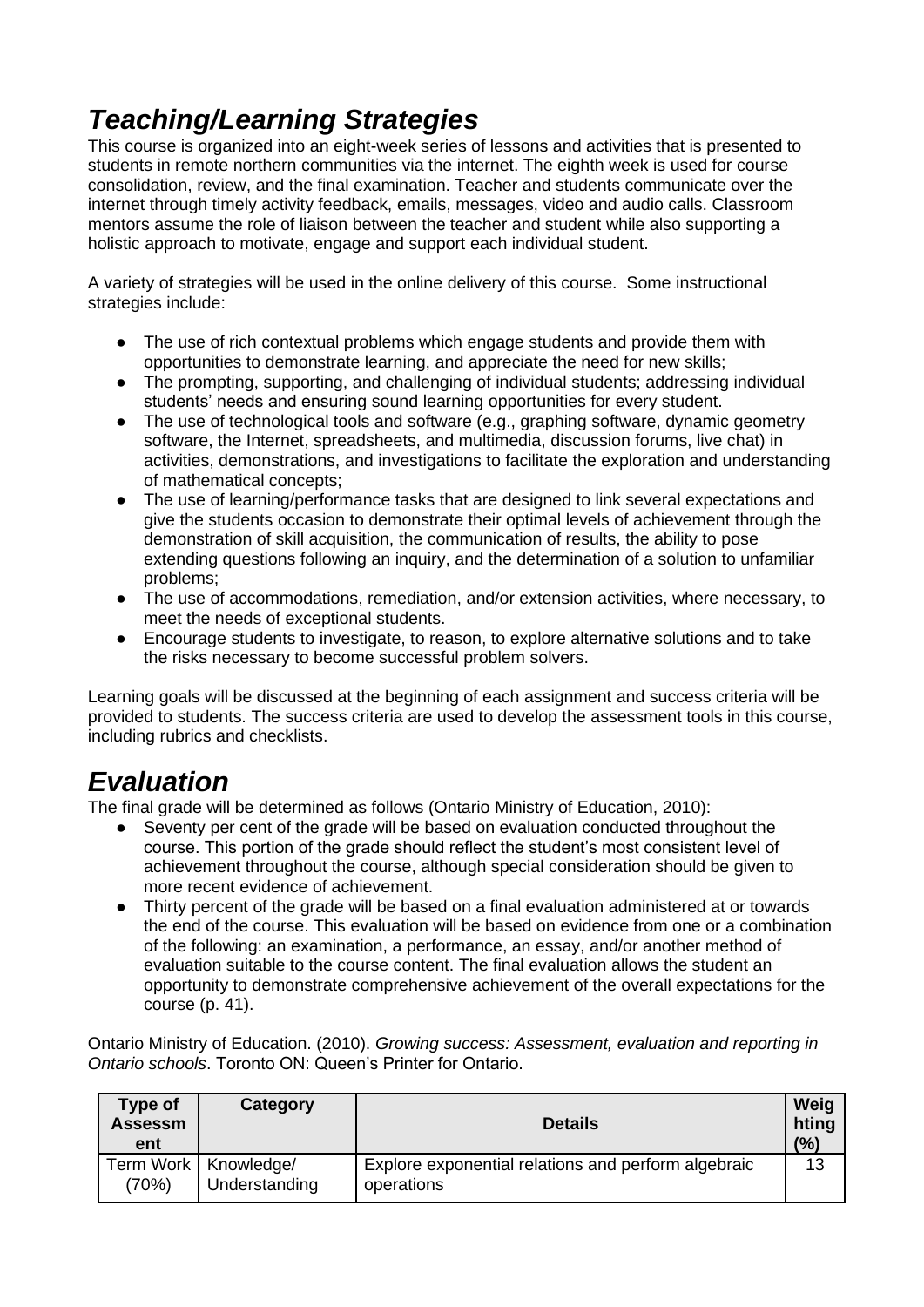# *Teaching/Learning Strategies*

This course is organized into an eight-week series of lessons and activities that is presented to students in remote northern communities via the internet. The eighth week is used for course consolidation, review, and the final examination. Teacher and students communicate over the internet through timely activity feedback, emails, messages, video and audio calls. Classroom mentors assume the role of liaison between the teacher and student while also supporting a holistic approach to motivate, engage and support each individual student.

A variety of strategies will be used in the online delivery of this course. Some instructional strategies include:

- The use of rich contextual problems which engage students and provide them with opportunities to demonstrate learning, and appreciate the need for new skills;
- The prompting, supporting, and challenging of individual students; addressing individual students' needs and ensuring sound learning opportunities for every student.
- The use of technological tools and software (e.g., graphing software, dynamic geometry software, the Internet, spreadsheets, and multimedia, discussion forums, live chat) in activities, demonstrations, and investigations to facilitate the exploration and understanding of mathematical concepts;
- The use of learning/performance tasks that are designed to link several expectations and give the students occasion to demonstrate their optimal levels of achievement through the demonstration of skill acquisition, the communication of results, the ability to pose extending questions following an inquiry, and the determination of a solution to unfamiliar problems;
- The use of accommodations, remediation, and/or extension activities, where necessary, to meet the needs of exceptional students.
- Encourage students to investigate, to reason, to explore alternative solutions and to take the risks necessary to become successful problem solvers.

Learning goals will be discussed at the beginning of each assignment and success criteria will be provided to students. The success criteria are used to develop the assessment tools in this course, including rubrics and checklists.

## *Evaluation*

The final grade will be determined as follows (Ontario Ministry of Education, 2010):

- Seventy per cent of the grade will be based on evaluation conducted throughout the course. This portion of the grade should reflect the student's most consistent level of achievement throughout the course, although special consideration should be given to more recent evidence of achievement.
- Thirty percent of the grade will be based on a final evaluation administered at or towards the end of the course. This evaluation will be based on evidence from one or a combination of the following: an examination, a performance, an essay, and/or another method of evaluation suitable to the course content. The final evaluation allows the student an opportunity to demonstrate comprehensive achievement of the overall expectations for the course (p. 41).

Ontario Ministry of Education. (2010). *Growing success: Assessment, evaluation and reporting in Ontario schools*. Toronto ON: Queen's Printer for Ontario.

| Type of<br><b>Assessm</b><br>ent | Category                                | <b>Details</b>                                                    | Weig<br>hting<br>(%) |
|----------------------------------|-----------------------------------------|-------------------------------------------------------------------|----------------------|
| (70%)                            | Term Work   Knowledge/<br>Understanding | Explore exponential relations and perform algebraic<br>operations | 13                   |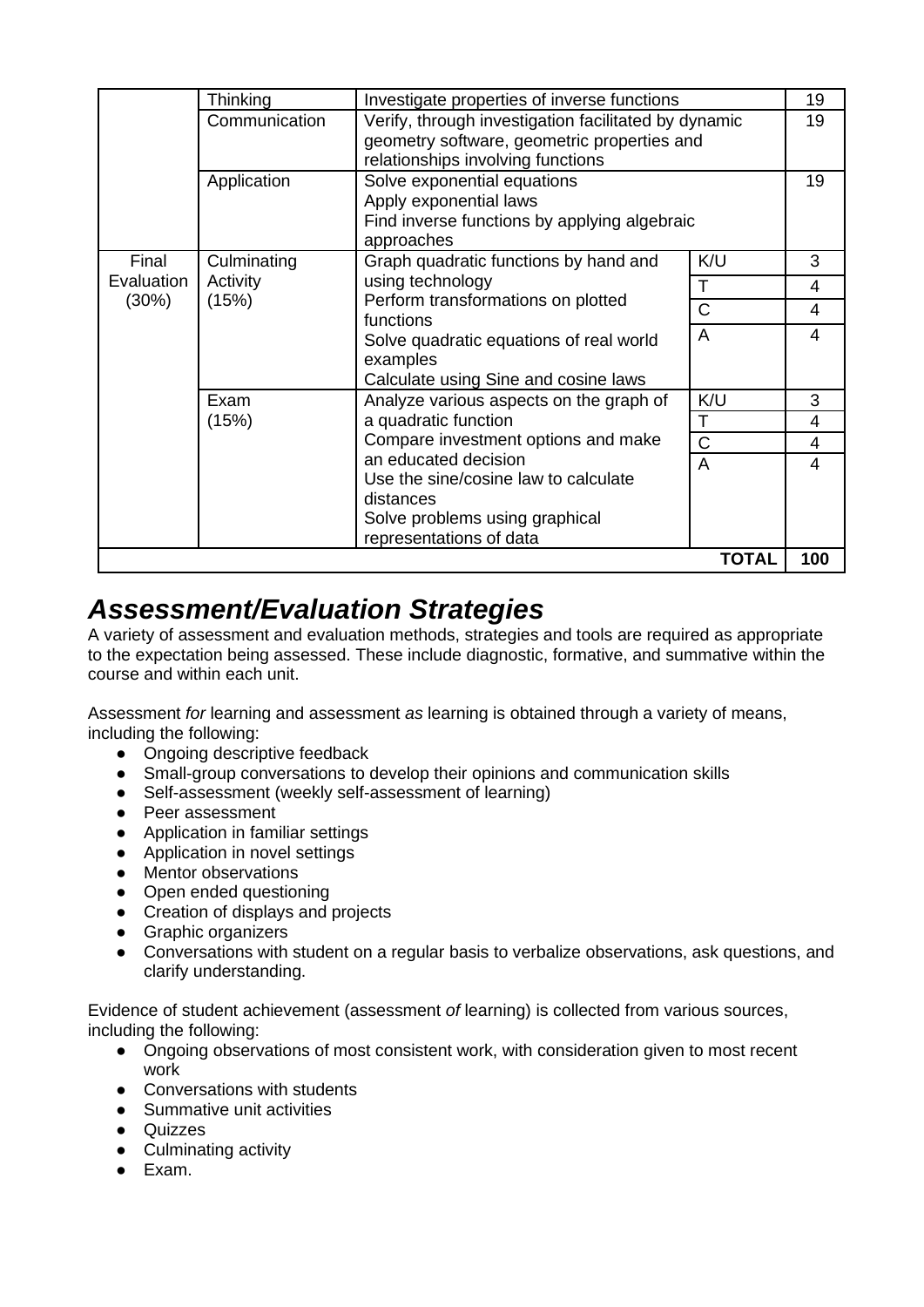|                     | Thinking          | Investigate properties of inverse functions                                                         |                       | 19             |
|---------------------|-------------------|-----------------------------------------------------------------------------------------------------|-----------------------|----------------|
|                     | Communication     | Verify, through investigation facilitated by dynamic<br>geometry software, geometric properties and |                       | 19             |
|                     |                   | relationships involving functions                                                                   |                       |                |
|                     | Application       | Solve exponential equations<br>Apply exponential laws                                               |                       | 19             |
|                     |                   |                                                                                                     |                       |                |
|                     |                   | Find inverse functions by applying algebraic<br>approaches                                          |                       |                |
| Final               | Culminating       | Graph quadratic functions by hand and                                                               | K/U                   | 3              |
| Evaluation<br>(30%) | Activity<br>(15%) | using technology<br>Perform transformations on plotted<br>functions                                 | $\mathsf{T}$          | 4              |
|                     |                   |                                                                                                     | C                     | 4              |
|                     |                   | Solve quadratic equations of real world                                                             | A                     | 4              |
|                     |                   | examples                                                                                            |                       |                |
|                     |                   | Calculate using Sine and cosine laws                                                                |                       |                |
|                     | Exam              | Analyze various aspects on the graph of                                                             | K/U                   | 3              |
|                     | (15%)             | a quadratic function                                                                                | $\mathsf T$           | $\overline{4}$ |
|                     |                   | Compare investment options and make                                                                 | $\overline{\text{C}}$ | 4              |
|                     |                   | an educated decision                                                                                | $\overline{A}$        | 4              |
|                     |                   | Use the sine/cosine law to calculate                                                                |                       |                |
|                     |                   | distances                                                                                           |                       |                |
|                     |                   | Solve problems using graphical                                                                      |                       |                |
|                     |                   | representations of data                                                                             |                       |                |
|                     |                   |                                                                                                     | <b>TOTAL</b>          | 100            |

### *Assessment/Evaluation Strategies*

A variety of assessment and evaluation methods, strategies and tools are required as appropriate to the expectation being assessed. These include diagnostic, formative, and summative within the course and within each unit.

Assessment *for* learning and assessment *as* learning is obtained through a variety of means, including the following:

- Ongoing descriptive feedback
- Small-group conversations to develop their opinions and communication skills
- Self-assessment (weekly self-assessment of learning)
- Peer assessment
- Application in familiar settings
- Application in novel settings
- Mentor observations
- Open ended questioning
- Creation of displays and projects
- Graphic organizers
- Conversations with student on a regular basis to verbalize observations, ask questions, and clarify understanding.

Evidence of student achievement (assessment *of* learning) is collected from various sources, including the following:

- Ongoing observations of most consistent work, with consideration given to most recent work
- Conversations with students
- Summative unit activities
- Quizzes
- Culminating activity
- Exam.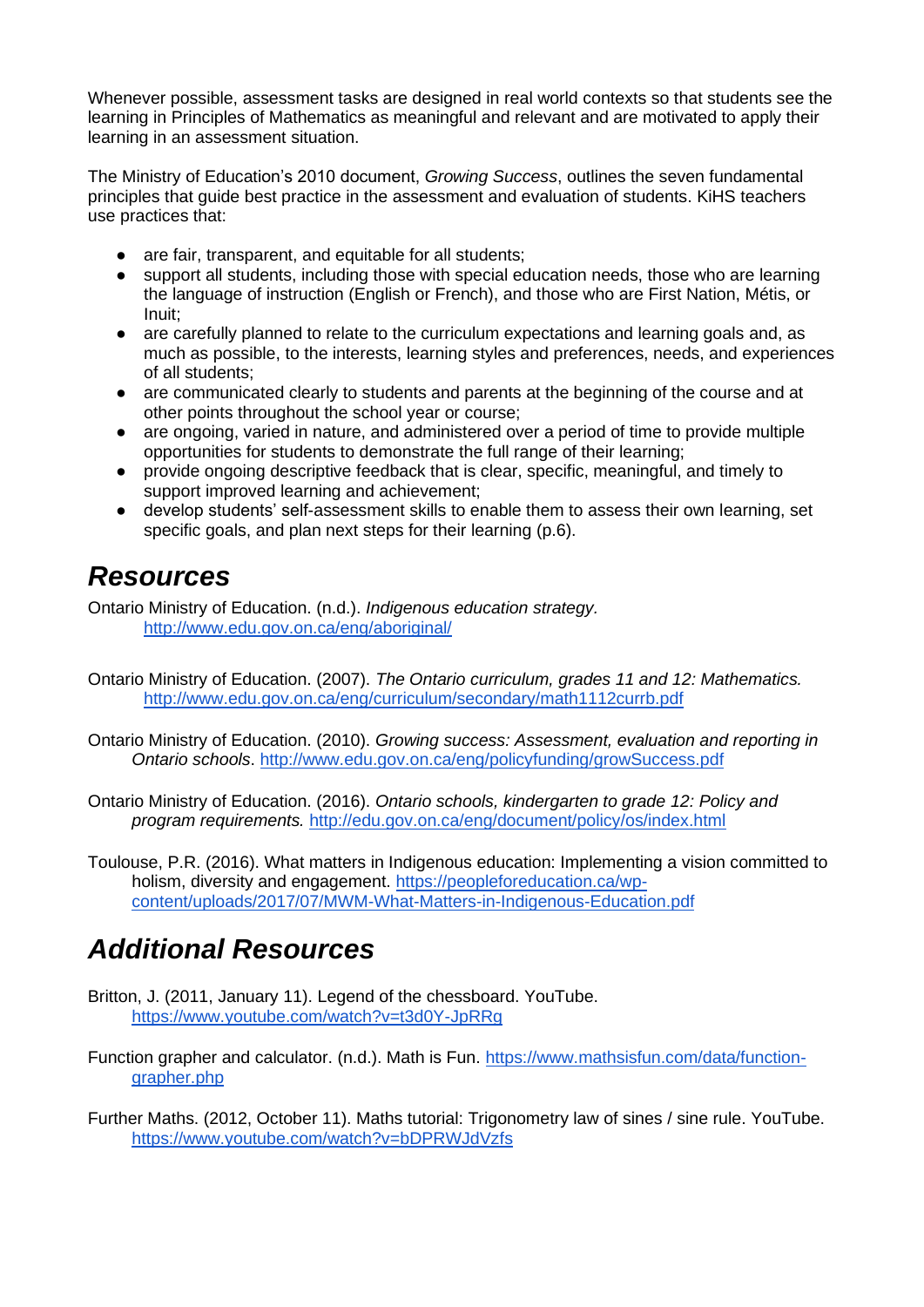Whenever possible, assessment tasks are designed in real world contexts so that students see the learning in Principles of Mathematics as meaningful and relevant and are motivated to apply their learning in an assessment situation.

The Ministry of Education's 2010 document, *Growing Success*, outlines the seven fundamental principles that guide best practice in the assessment and evaluation of students. KiHS teachers use practices that:

- are fair, transparent, and equitable for all students:
- support all students, including those with special education needs, those who are learning the language of instruction (English or French), and those who are First Nation, Métis, or Inuit;
- are carefully planned to relate to the curriculum expectations and learning goals and, as much as possible, to the interests, learning styles and preferences, needs, and experiences of all students;
- are communicated clearly to students and parents at the beginning of the course and at other points throughout the school year or course;
- are ongoing, varied in nature, and administered over a period of time to provide multiple opportunities for students to demonstrate the full range of their learning;
- provide ongoing descriptive feedback that is clear, specific, meaningful, and timely to support improved learning and achievement;
- develop students' self-assessment skills to enable them to assess their own learning, set specific goals, and plan next steps for their learning (p.6).

### *Resources*

Ontario Ministry of Education. (n.d.). *Indigenous education strategy.* <http://www.edu.gov.on.ca/eng/aboriginal/>

- Ontario Ministry of Education. (2007). *The Ontario curriculum, grades 11 and 12: Mathematics.*  <http://www.edu.gov.on.ca/eng/curriculum/secondary/math1112currb.pdf>
- Ontario Ministry of Education. (2010). *Growing success: Assessment, evaluation and reporting in Ontario schools*.<http://www.edu.gov.on.ca/eng/policyfunding/growSuccess.pdf>
- Ontario Ministry of Education. (2016). *Ontario schools, kindergarten to grade 12: Policy and program requirements.* <http://edu.gov.on.ca/eng/document/policy/os/index.html>
- Toulouse, P.R. (2016). What matters in Indigenous education: Implementing a vision committed to holism, diversity and engagement. [https://peopleforeducation.ca/wp](https://peopleforeducation.ca/wp-content/uploads/2017/07/MWM-What-Matters-in-Indigenous-Education.pdf)[content/uploads/2017/07/MWM-What-Matters-in-Indigenous-Education.pdf](https://peopleforeducation.ca/wp-content/uploads/2017/07/MWM-What-Matters-in-Indigenous-Education.pdf)

## *Additional Resources*

- Britton, J. (2011, January 11). Legend of the chessboard. YouTube. <https://www.youtube.com/watch?v=t3d0Y-JpRRg>
- Function grapher and calculator. (n.d.). Math is Fun. [https://www.mathsisfun.com/data/function](https://www.mathsisfun.com/data/function-grapher.php)[grapher.php](https://www.mathsisfun.com/data/function-grapher.php)
- Further Maths. (2012, October 11). Maths tutorial: Trigonometry law of sines / sine rule. YouTube. <https://www.youtube.com/watch?v=bDPRWJdVzfs>